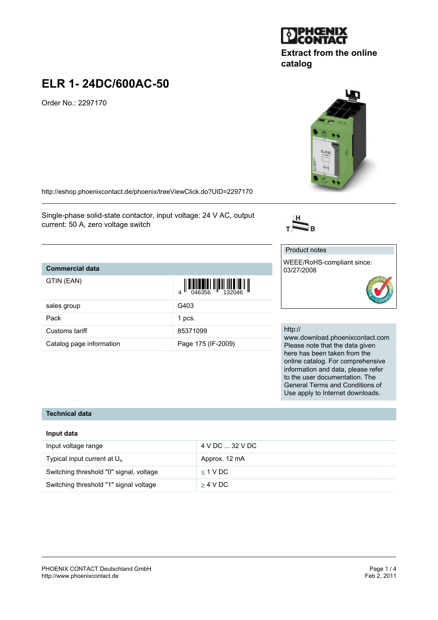# **ELR 1- 24DC/600AC-50**

Order No.: 2297170

<http://eshop.phoenixcontact.de/phoenix/treeViewClick.do?UID=2297170>

Single-phase solid-state contactor, input voltage: 24 V AC, output current: 50 A, zero voltage switch

## **Commercial data**

| GTIN (EAN)               | $\left\  \prod_{0.46356} \left\  \prod_{1.32046} \left\  \prod_{1.32046} \right\  \right\  \right\ $ |
|--------------------------|------------------------------------------------------------------------------------------------------|
| sales group              | G403                                                                                                 |
| Pack                     | 1 pcs.                                                                                               |
| Customs tariff           | 85371099                                                                                             |
| Catalog page information | Page 175 (IF-2009)                                                                                   |

#### http://

Product notes

03/27/2008

 $\overline{\sum}_{\mathrm{B}}$ 

WEEE/RoHS-compliant since:

www.download.phoenixcontact.com Please note that the data given here has been taken from the online catalog. For comprehensive information and data, please refer to the user documentation. The General Terms and Conditions of Use apply to Internet downloads.

#### **Technical data**

#### **Input data**

| Input voltage range                     | 4 V DC  32 V DC |
|-----------------------------------------|-----------------|
| Typical input current at $U_{N}$        | Approx. 12 mA   |
| Switching threshold "0" signal, voltage | $<$ 1 V DC      |
| Switching threshold "1" signal voltage  | $>$ 4 V DC      |





**Extract from the online**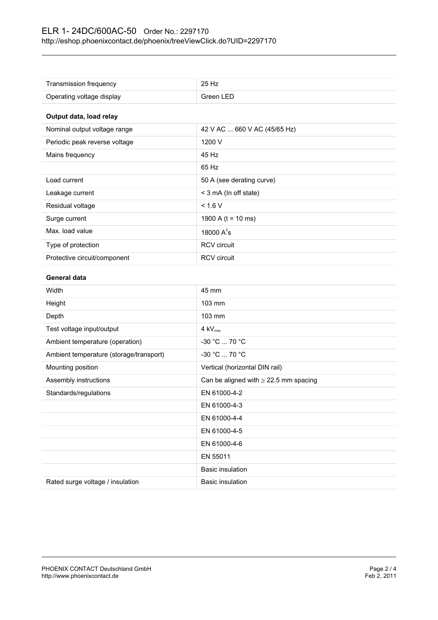| Transmission frequency                  | 25 Hz                                      |  |
|-----------------------------------------|--------------------------------------------|--|
| Operating voltage display               | Green LED                                  |  |
| Output data, load relay                 |                                            |  |
| Nominal output voltage range            | 42 V AC  660 V AC (45/65 Hz)               |  |
| Periodic peak reverse voltage           | 1200 V                                     |  |
| Mains frequency                         | 45 Hz                                      |  |
|                                         | 65 Hz                                      |  |
| Load current                            | 50 A (see derating curve)                  |  |
| Leakage current                         | < 3 mA (In off state)                      |  |
| Residual voltage                        | < 1.6 V                                    |  |
| Surge current                           | 1900 A ( $t = 10$ ms)                      |  |
| Max. load value                         | 18000 $A^2$ s                              |  |
| Type of protection                      | <b>RCV</b> circuit                         |  |
| Protective circuit/component            | <b>RCV</b> circuit                         |  |
| <b>General data</b>                     |                                            |  |
| Width                                   | 45 mm                                      |  |
| Height                                  | 103 mm                                     |  |
| Depth                                   | 103 mm                                     |  |
| Test voltage input/output               | $4$ kV $_{rms}$                            |  |
| Ambient temperature (operation)         | -30 °C  70 °C                              |  |
| Ambient temperature (storage/transport) | -30 °C  70 °C                              |  |
| Mounting position                       | Vertical (horizontal DIN rail)             |  |
| Assembly instructions                   | Can be aligned with $\geq$ 22.5 mm spacing |  |
| Standards/regulations                   | EN 61000-4-2                               |  |
|                                         | EN 61000-4-3                               |  |
|                                         | EN 61000-4-4                               |  |
|                                         | EN 61000-4-5                               |  |
|                                         | EN 61000-4-6                               |  |
|                                         | EN 55011                                   |  |
|                                         | <b>Basic insulation</b>                    |  |
| Rated surge voltage / insulation        | <b>Basic insulation</b>                    |  |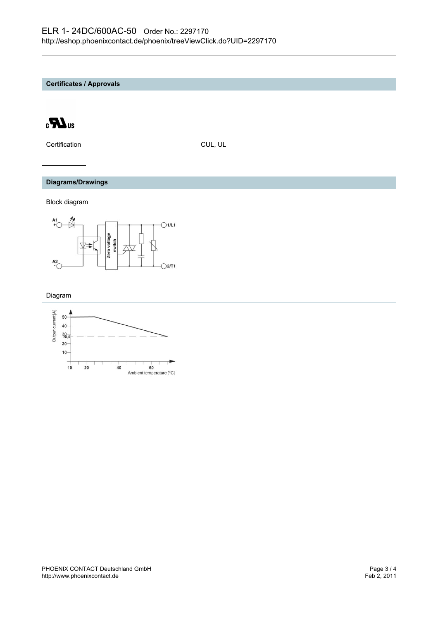**Certificates / Approvals**



Certification CUL, UL

#### **Diagrams/Drawings**

Block diagram



Diagram